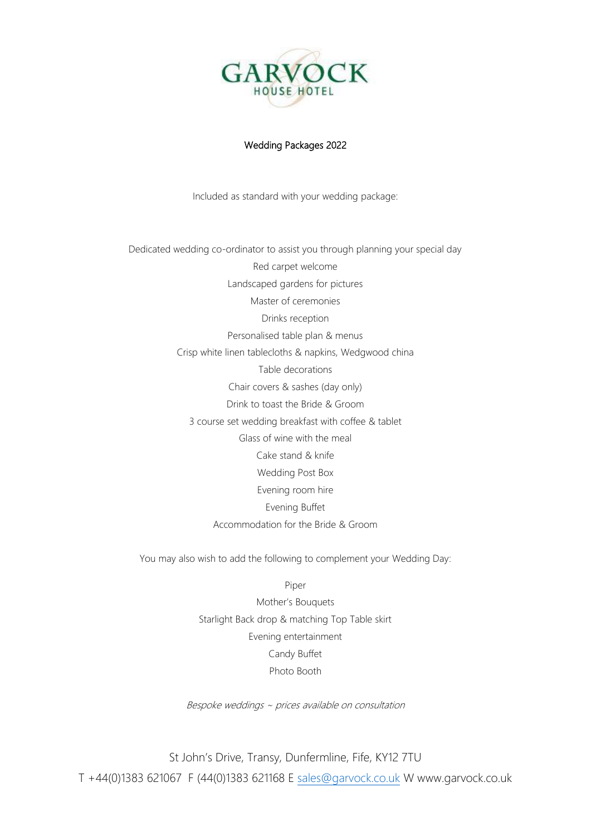

#### Wedding Packages 2022

Included as standard with your wedding package:

Dedicated wedding co-ordinator to assist you through planning your special day Red carpet welcome Landscaped gardens for pictures Master of ceremonies Drinks reception Personalised table plan & menus Crisp white linen tablecloths & napkins, Wedgwood china Table decorations Chair covers & sashes (day only) Drink to toast the Bride & Groom 3 course set wedding breakfast with coffee & tablet Glass of wine with the meal Cake stand & knife Wedding Post Box Evening room hire Evening Buffet Accommodation for the Bride & Groom

You may also wish to add the following to complement your Wedding Day:

Piper

Mother's Bouquets Starlight Back drop & matching Top Table skirt Evening entertainment Candy Buffet Photo Booth

Bespoke weddings ~ prices available on consultation

St John's Drive, Transy, Dunfermline, Fife, KY12 7TU T +44(0)1383 621067 F (44(0)1383 621168 E [sales@garvock.co.uk](mailto:sales@garvock.co.uk) W www.garvock.co.uk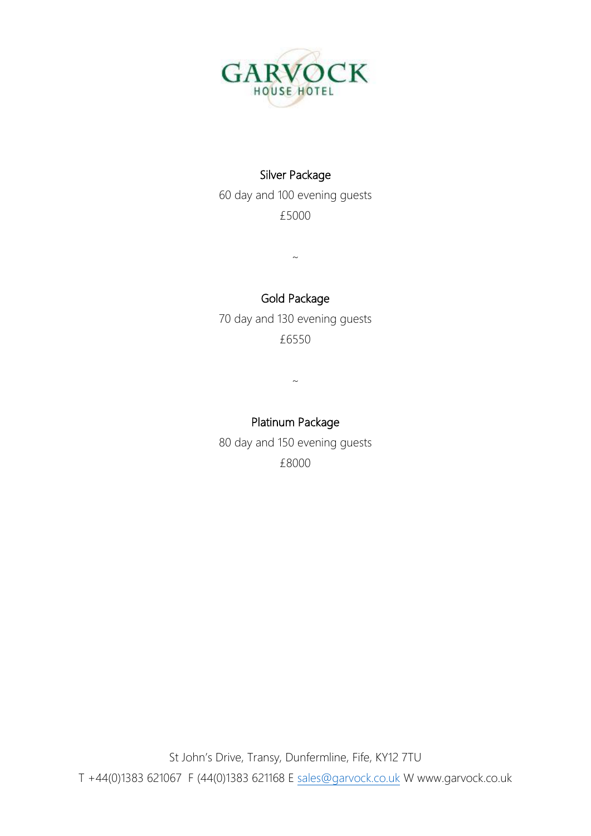

## Silver Package

60 day and 100 evening guests £5000

 $\sim$ 

# Gold Package

70 day and 130 evening guests £6550

 $\sim$ 

## Platinum Package

80 day and 150 evening guests £8000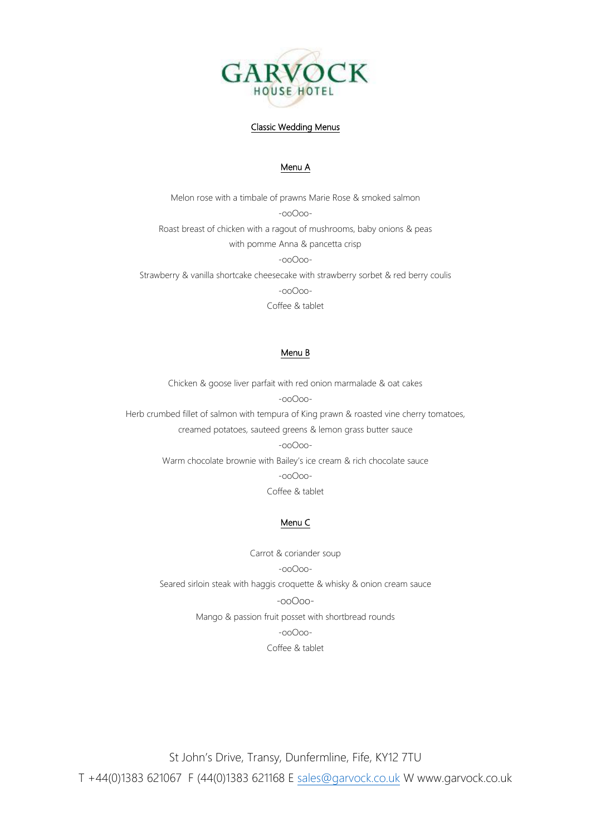

#### Classic Wedding Menus

#### Menu A

Melon rose with a timbale of prawns Marie Rose & smoked salmon -ooOoo-Roast breast of chicken with a ragout of mushrooms, baby onions & peas with pomme Anna & pancetta crisp -ooOoo-Strawberry & vanilla shortcake cheesecake with strawberry sorbet & red berry coulis -ooOoo-Coffee & tablet

#### Menu B

Chicken & goose liver parfait with red onion marmalade & oat cakes -ooOoo-

Herb crumbed fillet of salmon with tempura of King prawn & roasted vine cherry tomatoes, creamed potatoes, sauteed greens & lemon grass butter sauce

-ooOoo-

Warm chocolate brownie with Bailey's ice cream & rich chocolate sauce -ooOoo-Coffee & tablet

#### Menu C

Carrot & coriander soup -ooOoo-Seared sirloin steak with haggis croquette & whisky & onion cream sauce -ooOoo-Mango & passion fruit posset with shortbread rounds -ooOoo-

Coffee & tablet

St John's Drive, Transy, Dunfermline, Fife, KY12 7TU T +44(0)1383 621067 F (44(0)1383 621168 E [sales@garvock.co.uk](mailto:sales@garvock.co.uk) W www.garvock.co.uk